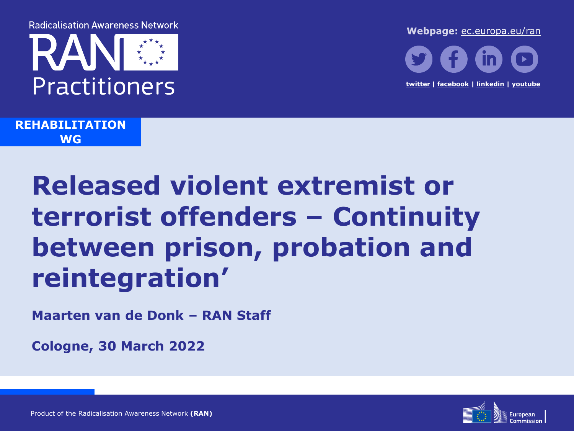**Radicalisation Awareness Network** 



Webpage: [ec.europa.eu/ran](https://ec.europa.eu/ran)



**REHABILITATION WG**

# **Released violent extremist or terrorist offenders – Continuity between prison, probation and reintegration'**

**Maarten van de Donk – RAN Staff**

**Cologne, 30 March 2022**

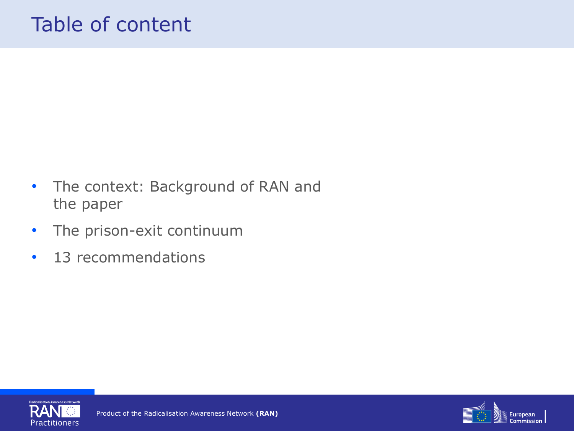# Table of content

- The context: Background of RAN and the paper
- The prison-exit continuum
- 13 recommendations



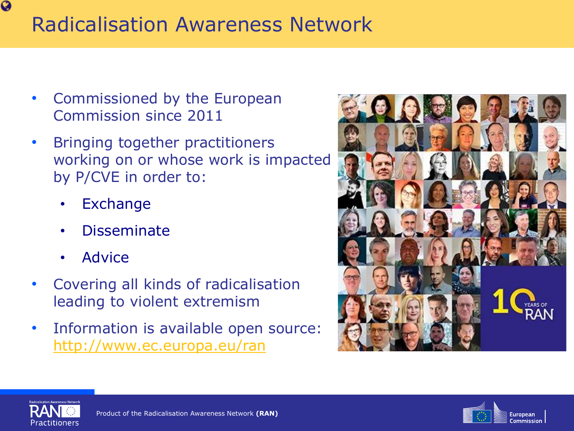# Radicalisation Awareness Network

- Commissioned by the European Commission since 2011
- Bringing together practitioners working on or whose work is impacted by P/CVE in order to:
	- **Exchange**
	- Disseminate
	- **Advice**
- Covering all kinds of radicalisation leading to violent extremism
- Information is available open source: <http://www.ec.europa.eu/ran>







 $\bullet$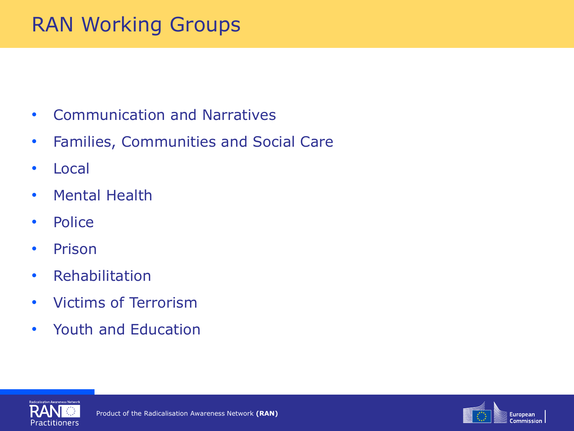# RAN Working Groups

- Communication and Narratives
- Families, Communities and Social Care
- Local
- Mental Health
- Police
- Prison
- Rehabilitation
- Victims of Terrorism
- Youth and Education



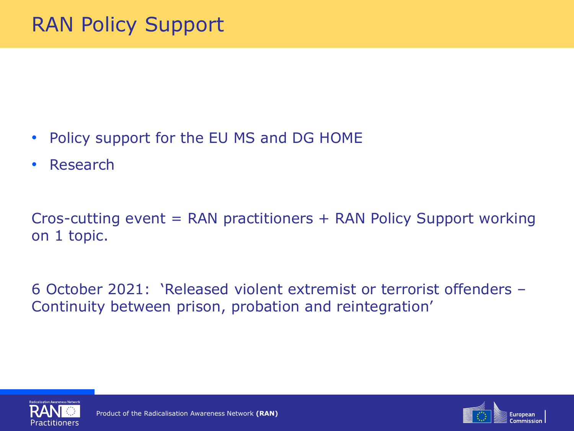- Policy support for the EU MS and DG HOME
- Research

Cros-cutting event = RAN practitioners + RAN Policy Support working on 1 topic.

6 October 2021: 'Released violent extremist or terrorist offenders – Continuity between prison, probation and reintegration'



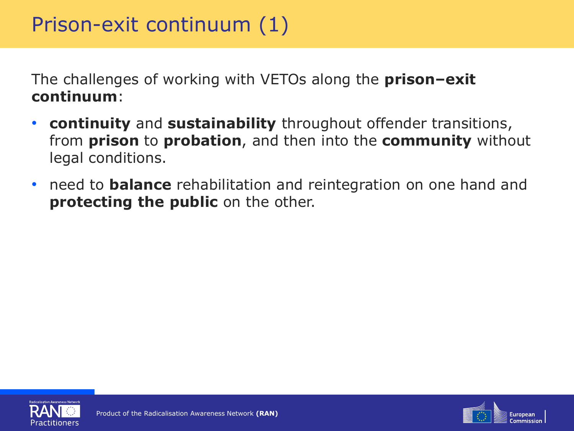The challenges of working with VETOs along the **prison–exit continuum**:

- **continuity** and **sustainability** throughout offender transitions, from **prison** to **probation**, and then into the **community** without legal conditions.
- need to **balance** rehabilitation and reintegration on one hand and **protecting the public** on the other.



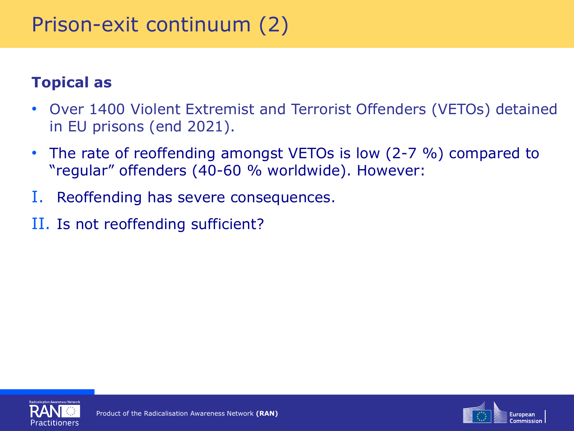# Prison-exit continuum (2)

#### **Topical as**

- Over 1400 Violent Extremist and Terrorist Offenders (VETOs) detained in EU prisons (end 2021).
- The rate of reoffending amongst VETOs is low (2-7 %) compared to "regular" offenders (40-60 % worldwide). However:
- I. Reoffending has severe consequences.
- II. Is not reoffending sufficient?



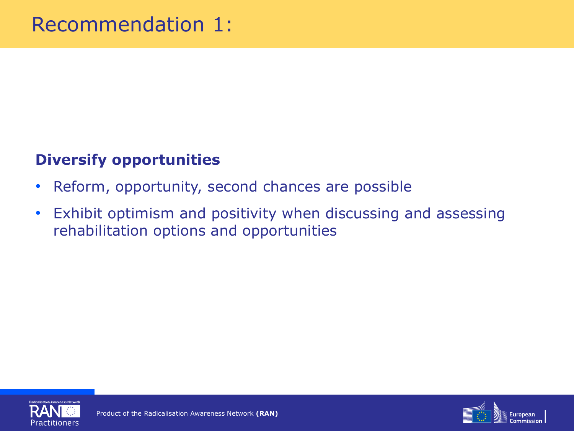#### **Diversify opportunities**

- Reform, opportunity, second chances are possible
- Exhibit optimism and positivity when discussing and assessing rehabilitation options and opportunities



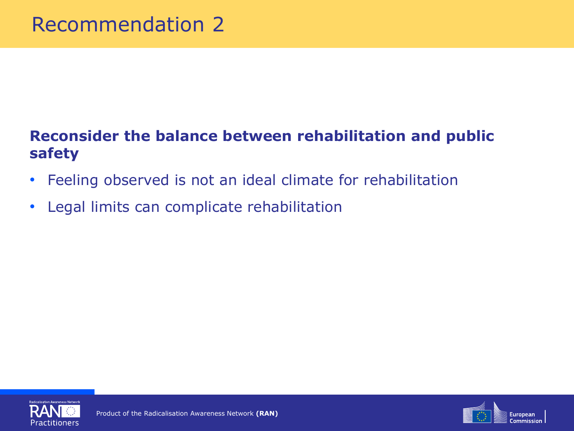#### **Reconsider the balance between rehabilitation and public safety**

- Feeling observed is not an ideal climate for rehabilitation
- Legal limits can complicate rehabilitation



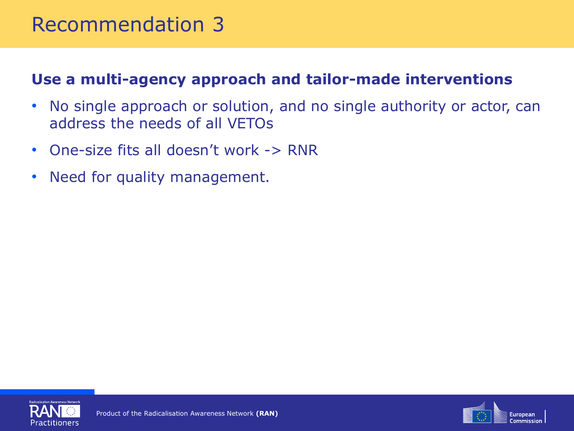### Recommendation 3

#### **Use a multi-agency approach and tailor-made interventions**

- No single approach or solution, and no single authority or actor, can address the needs of all VETOs
- One-size fits all doesn't work -> RNR
- Need for quality management.



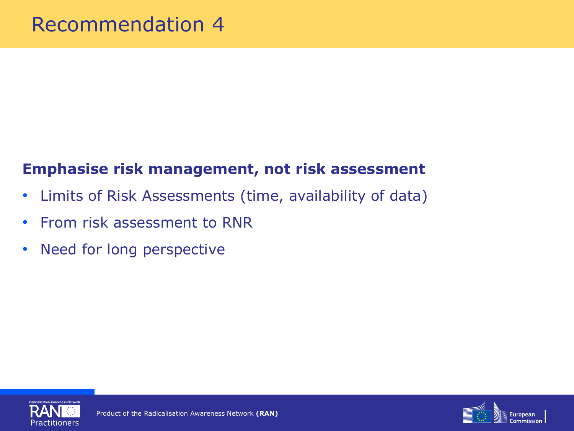#### **Emphasise risk management, not risk assessment**

- Limits of Risk Assessments (time, availability of data)
- From risk assessment to RNR
- Need for long perspective



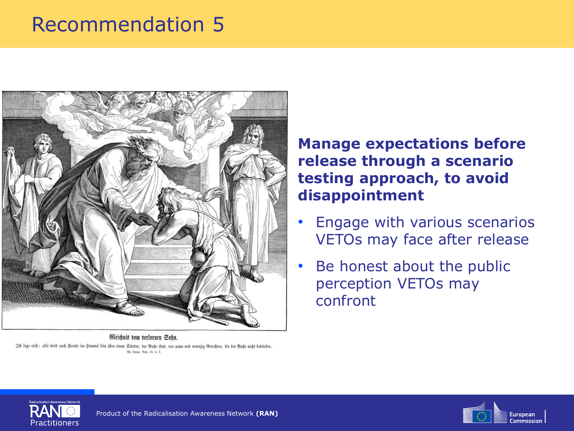# Recommendation 5



Gleichnis vom berlornen Sobn. 3d fage euch: alfo wird auch Freude im himmel fein über einen Günder, der Buße thut, vor neun und neunzig Gerechten, die der Buße nicht bedürfen. @в. Фисаг. Сар. 15. в. 7.

#### **Manage expectations before release through a scenario testing approach, to avoid disappointment**

- Engage with various scenarios VETOs may face after release
- Be honest about the public perception VETOs may confront



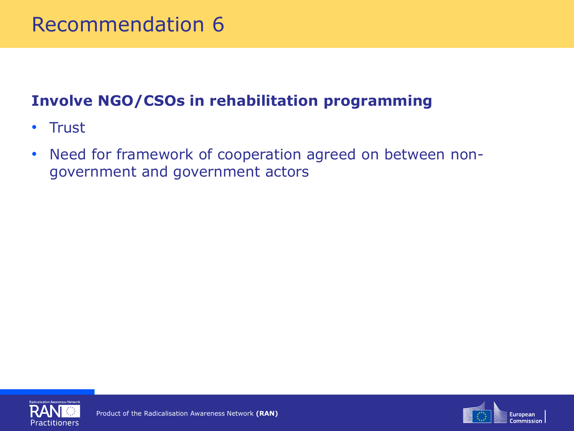### Recommendation 6

#### **Involve NGO/CSOs in rehabilitation programming**

- Trust
- Need for framework of cooperation agreed on between nongovernment and government actors



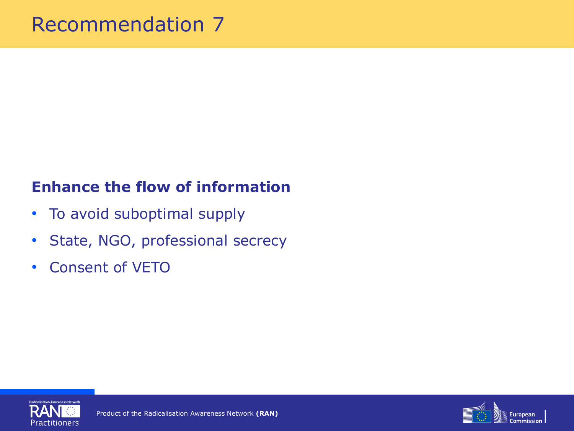#### **Enhance the flow of information**

- To avoid suboptimal supply
- State, NGO, professional secrecy
- Consent of VETO



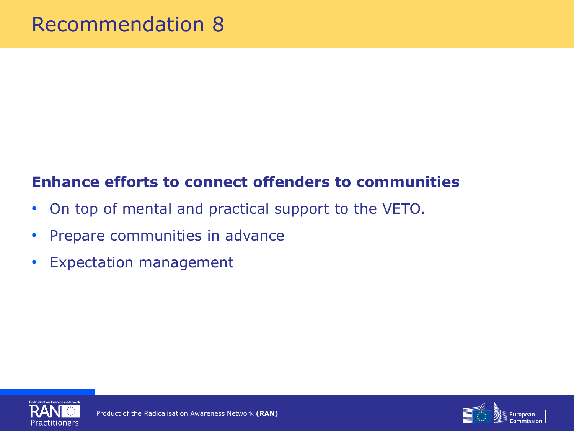#### **Enhance efforts to connect offenders to communities**

- On top of mental and practical support to the VETO.
- Prepare communities in advance
- Expectation management



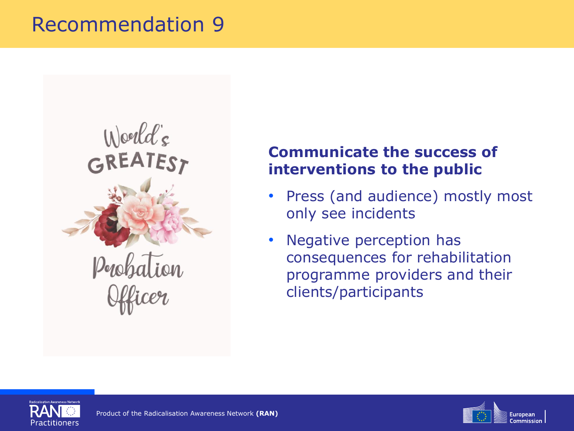### Recommendation 9



#### **Communicate the success of interventions to the public**

- Press (and audience) mostly most only see incidents
- Negative perception has consequences for rehabilitation programme providers and their clients/participants



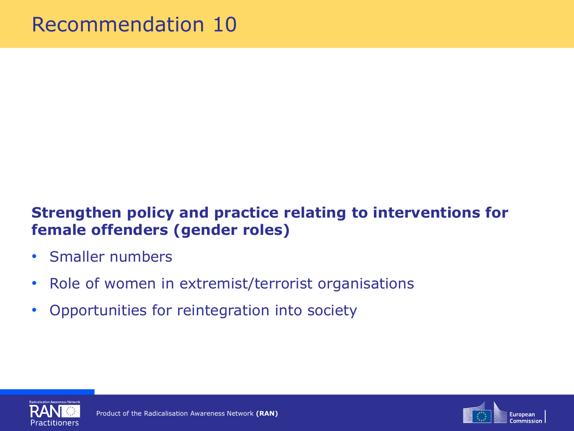#### **Strengthen policy and practice relating to interventions for female offenders (gender roles)**

- Smaller numbers
- Role of women in extremist/terrorist organisations
- Opportunities for reintegration into society



![](_page_16_Picture_6.jpeg)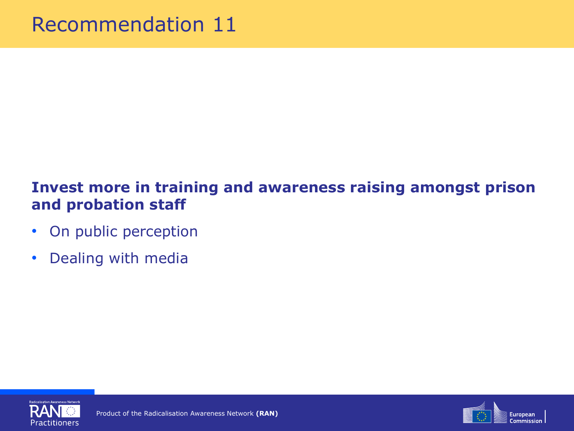#### **Invest more in training and awareness raising amongst prison and probation staff**

- On public perception
- Dealing with media

![](_page_17_Picture_4.jpeg)

![](_page_17_Picture_5.jpeg)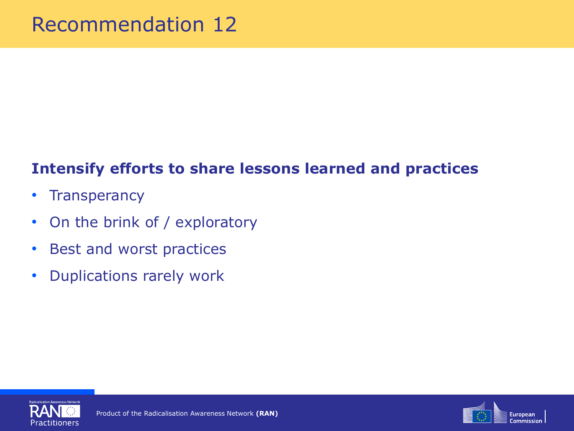#### **Intensify efforts to share lessons learned and practices**

- Transperancy
- On the brink of / exploratory
- Best and worst practices
- Duplications rarely work

![](_page_18_Picture_6.jpeg)

![](_page_18_Picture_7.jpeg)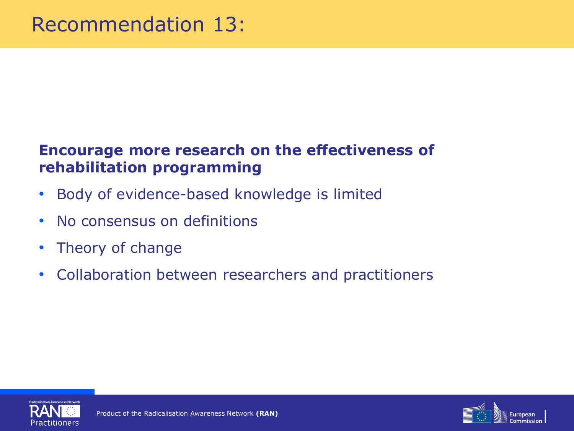#### **Encourage more research on the effectiveness of rehabilitation programming**

- Body of evidence-based knowledge is limited
- No consensus on definitions
- Theory of change
- Collaboration between researchers and practitioners

![](_page_19_Picture_6.jpeg)

![](_page_19_Picture_7.jpeg)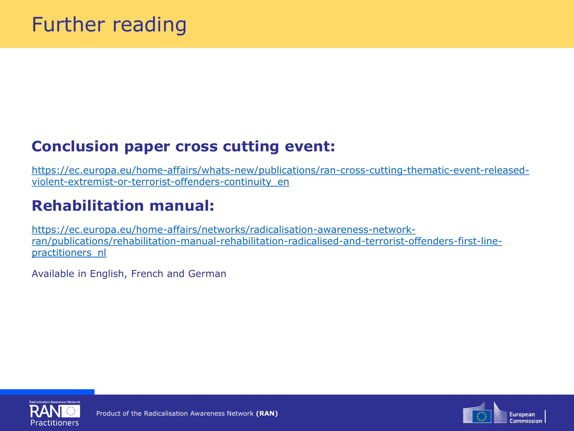#### **Conclusion paper cross cutting event:**

[https://ec.europa.eu/home-affairs/whats-new/publications/ran-cross-cutting-thematic-event-released](https://ec.europa.eu/home-affairs/whats-new/publications/ran-cross-cutting-thematic-event-released-violent-extremist-or-terrorist-offenders-continuity_en)violent-extremist-or-terrorist-offenders-continuity\_en

#### **Rehabilitation manual:**

https://ec.europa.eu/home-affairs/networks/radicalisation-awareness-network[ran/publications/rehabilitation-manual-rehabilitation-radicalised-and-terrorist-offenders-first-line](https://ec.europa.eu/home-affairs/networks/radicalisation-awareness-network-ran/publications/rehabilitation-manual-rehabilitation-radicalised-and-terrorist-offenders-first-line-practitioners_nl)practitioners\_nl

Available in English, French and German

![](_page_20_Picture_6.jpeg)

![](_page_20_Picture_7.jpeg)